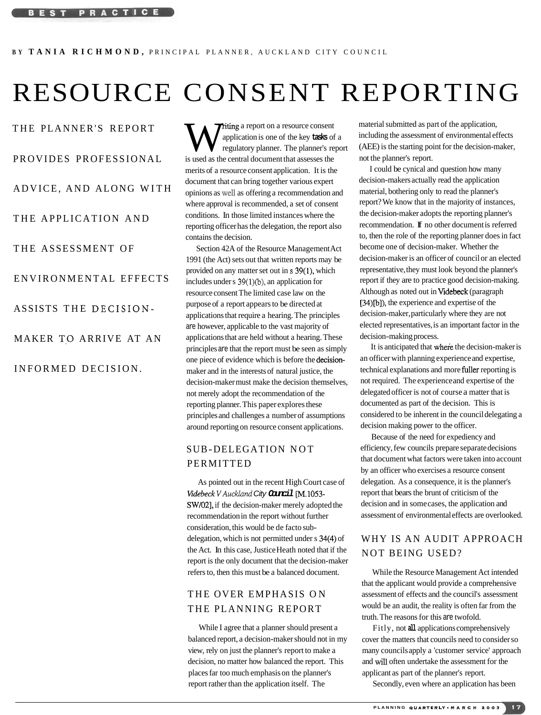# RESOURCE CONSENT REPORTING

THE PLANNER'S REPORT

#### PROVIDES PROFESSIONAL

ADVICE, AND ALONG WITH

THE APPLICATION AND

THE ASSESSMENT OF

ENVIRONMENTAL EFFECTS

ASSISTS THE DECISION-

MAKER TO ARRIVE AT AN

INFORMED DECISION.

**Triting** a report on a resource consent application is one of the key **tasks** of a regulatory planner. The planner's report is used as the central document that assesses the merits of a resource consent application. It is the document that can bring together various expert opinions as well as offering a recommendation and where approval is recommended, a set of consent conditions. In those limited instances where the reporting officer has the delegation, the report also contains the decision.

Section 42A of the Resource Management Act 1991 (the Act) sets out that written reports may be provided on any matter set out in **s** 39(1), which includes under  $s$  39(1)(b), an application for resource consent The limited case law on the purpose of a report appears to be directed at applications that require a hearing. The principles are however, applicable to the vast majority of applications that are held without a hearing. These principles are that the report must be seen as simply one piece of evidence which is before the decisionmaker and in the interests of natural justice, the decision-maker must make the decision themselves, not merely adopt the recommendation of the reporting planner. This paper explores these principles and challenges a number of assumptions around reporting on resource consent applications.

#### SUB-DELEGATION NOT PERMITTED

As pointed out in the recent High Court case of Videbeck V Auckland City **Cancil** [M.1053-SW/02], if the decision-maker merely adopted the recommendation in the report without further consideration, this would be de facto subdelegation, which is not permitted under s 34(4) of the Act. In this case, Justice Heath noted that if the report is the only document that the decision-maker refers to, then this must be a balanced document.

## THE OVER EMPHASIS ON THE PLANNING REPORT

While I agree that a planner should present a balanced report, a decision-maker should not in my decision, no matter how balanced the report. This and will often undertake the assessment for the places far too much emphasis on the planner's applicant as part of the planner's report. report rather than the application itself. The Secondly, even where an application has been

material submitted as part of the application, including the assessment of environmental effects (AEE) is the starting point for the decision-maker, not the planner's report.

I could be cynical and question how many decision-makers actually read the application material, bothering only to read the planner's report? We know that in the majority of instances, the decision-maker adopts the reporting planner's recommendation. If no other document is referred to, then the role of the reporting planner does in fact become one of decision-maker. Whether the decision-maker is an officer of council or an elected representative, they must look beyond the planner's report if they are to practice good decision-making. Although as noted out in Videbeck (paragraph [34)[b]), the experience and expertise of the decision-maker, particularly where they are not elected representatives, is an important factor in the decision-making process.

It is anticipated that where the decision-maker is an officer with planning experience and expertise, technical explanations and more fuller reporting is not required. The experience and expertise of the delegated officer is not of course a matter that is documented as part of the decision. This is considered to be inherent in the council delegating a decision making power to the officer.

Because of the need for expediency and efficiency, few councils prepare separate decisions that document what factors were taken into account by an officer who exercises a resource consent delegation. As a consequence, it is the planner's report that bears the brunt of criticism of the decision and in some cases, the application and assessment of environmental effects are overlooked.

### WHY IS AN AUDIT APPROACH NOT BEING USED?

While the Resource Management Act intended that the applicant would provide a comprehensive assessment of effects and the council's assessment would be an audit, the reality is often far from the truth. The reasons for this are twofold.

Fitly, not **all** applications comprehensively cover the matters that councils need to consider so view, rely on just the planner's report to make a many councils apply a 'customer service' approach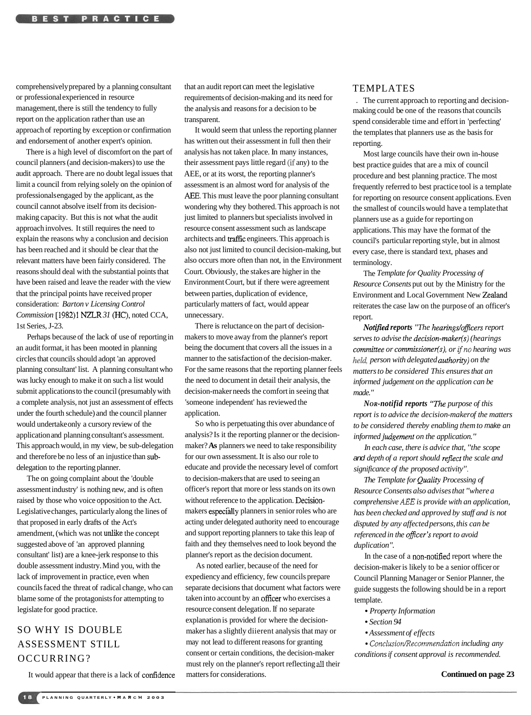comprehensively prepared by a planning consultant or professional experienced in resource management, there is still the tendency to fully report on the application rather than use an approach of reporting by exception or confirmation and endorsement of another expert's opinion.

There is a high level of discomfort on the part of council planners (and decision-makers) to use the audit approach. There are no doubt legal issues that limit a council from relying solely on the opinion of professionals engaged by the applicant, as the council cannot absolve itself from its decisionmaking capacity. But this is not what the audit approach involves. It still requires the need to explain the reasons why a conclusion and decision has been reached and it should be clear that the relevant matters have been fairly considered. The reasons should deal with the substantial points that have been raised and leave the reader with the view that the principal points have received proper consideration: *Barton v Licensing Control Commission* [1982)1 NZLR 31 (HC), noted CCA, 1st Series, J-23.

Perhaps because of the lack of use of reporting in an audit format, it has been mooted in planning circles that councils should adopt 'an approved planning consultant' list. A planning consultant who was lucky enough to make it on such a list would submit applications to the council (presumably with a complete analysis, not just an assessment of effects under the fourth schedule) and the council planner would undertake only a cursory review of the application and planning consultant's assessment. This approach would, in my view, be sub-delegation and therefore be no less of an injustice than subdelegation to the reporting planner.

The on going complaint about the 'double assessment industry' is nothing new, and is often raised by those who voice opposition to the Act. Legislative changes, particularly along the lines of that proposed in early drafts of the Act's amendment, (which was not unlike the concept suggested above of 'an approved planning consultant' list) are a knee-jerk response to this double assessment industry. Mind you, with the lack of improvement in practice, even when councils faced the threat of radical change, who can blame some of the protagonists for attempting to legislate for good practice.

# SO WHY IS DOUBLE ASSESSMENT STILL OCCURRING?

It would appear that there is a lack of confidence

that an audit report can meet the legislative requirements of decision-making and its need for the analysis and reasons for a decision to be transparent.

It would seem that unless the reporting planner has written out their assessment in full then their analysis has not taken place. In many instances, their assessment pays little regard **(if** any) to the AEE, or at its worst, the reporting planner's assessment is an almost word for analysis of the AEE. This must leave the poor planning consultant wondering why they bothered. This approach is not just limited to planners but specialists involved in resource consent assessment such as landscape architects and traffic engineers. This approach is also not just limited to council decision-making, but also occurs more often than not, in the Environment Court. Obviously, the stakes are higher in the Environment Court, but if there were agreement between parties, duplication of evidence, particularly matters of fact, would appear unnecessary.

There is reluctance on the part of decisionmakers to move away from the planner's report being the document that covers all the issues in a manner to the satisfaction of the decision-maker. For the same reasons that the reporting planner feels the need to document in detail their analysis, the decision-maker needs the comfort in seeing that 'someone independent' has reviewed the application.

So who is perpetuating this over abundance of analysis? Is it the reporting planner or the decisionmaker? **As** planners we need to take responsibility for our own assessment. It is also our role to educate and provide the necessary level of comfort to decision-makers that are used to seeing an officer's report that more or less stands on its own without reference to the application. Decisionmakers especfally planners in senior roles who are acting under delegated authority need to encourage and support reporting planners to take this leap of faith and they themselves need to look beyond the planner's report as the decision document.

As noted earlier, because of the need for expediency and efficiency, few councils prepare separate decisions that document what factors were taken into account by an officer who exercises a resource consent delegation. If no separate explanation is provided for where the decisionmaker has a slightly diierent analysis that may or may not lead to different reasons for granting consent or certain conditions, the decision-maker must rely on the planner's report reflecting all their matters for considerations.

#### TEMPLATES

. The current approach to reporting and decisionmaking could be one of the reasons that councils spend considerable time and effort in 'perfecting' the templates that planners use as the basis for reporting.

Most large councils have their own in-house best practice guides that are a mix of council procedure and best planning practice. The most frequently referred to best practice tool is a template for reporting on resource consent applications. Even the smallest of councils would have a template that planners use as a guide for reporting on applications. This may have the format of the council's particular reporting style, but in almost every case, there is standard text, phases and terminology.

The *Template for Quality Processing of Resource Consents* put out by the Ministry for the Environment and Local Government New Zealand reiterates the case law on the purpose of an officer's report.

*Notified reports* "The hearings/officers report *serves to advise the decision-rnaker(s) (hearings committee or commissioner(s), or if no hearing was held person with delegated authoriryl on the matters to be considered This ensures that an informed judgement on the application can be made."* 

*NOR-notifid reports "The purpose of this report is to advice the decision-maker of the matters to be considered thereby enabling them to* make *an informed judgement on the application."* 

*In each case, there is advice that, "the scope*  and *depth of a report should reflect the scale and significance of the proposed activity* ".

*The Template for Qualiv Processing of Resource Consents also advises that "where a comprehensive AEE is provide with an application, has been checked and approved by staff and is not disputed by any affected persons, this can be referenced in the oficer's report to avoid duplication".* 

In the case of a non-notified report where the decision-maker is likely to be a senior officer or Council Planning Manager or Senior Planner, the guide suggests the following should be in a report template.

- *Property Information*
- *Section 94*
- *Assessment of effects*

**ConclusionRecommendation** *including any conditions if consent approval is recommended.*